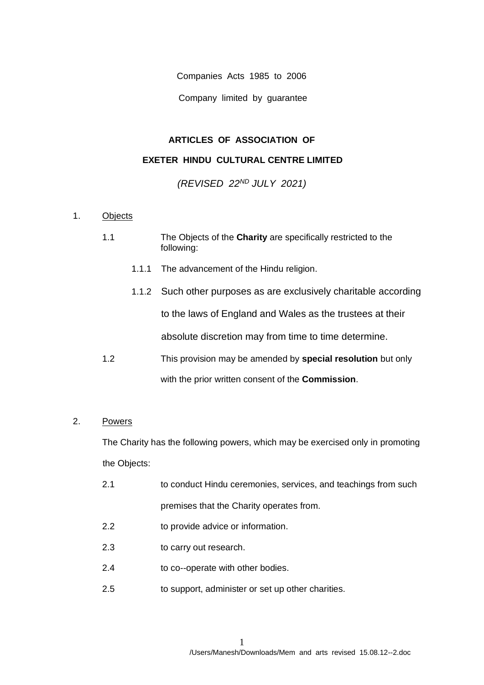Companies Acts 1985 to 2006

Company limited by guarantee

# **ARTICLES OF ASSOCIATION OF**

# **EXETER HINDU CULTURAL CENTRE LIMITED**

*(REVISED 22ND JULY 2021)* 

## 1. Objects

- 1.1 The Objects of the **Charity** are specifically restricted to the following:
	- 1.1.1 The advancement of the Hindu religion.
	- 1.1.2 Such other purposes as are exclusively charitable according to the laws of England and Wales as the trustees at their absolute discretion may from time to time determine.
- 1.2 This provision may be amended by **special resolution** but only with the prior written consent of the **Commission**.

## 2. Powers

The Charity has the following powers, which may be exercised only in promoting the Objects:

- 2.1 to conduct Hindu ceremonies, services, and teachings from such premises that the Charity operates from.
- 2.2 to provide advice or information.
- 2.3 to carry out research.
- 2.4 to co--operate with other bodies.
- 2.5 to support, administer or set up other charities.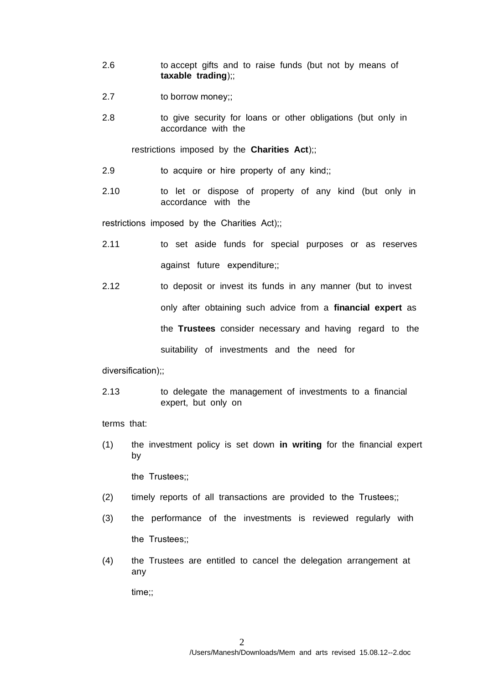- 2.6 to accept gifts and to raise funds (but not by means of **taxable trading**);;
- 2.7 to borrow money;;
- 2.8 to give security for loans or other obligations (but only in accordance with the

restrictions imposed by the **Charities Act**);;

- 2.9 to acquire or hire property of any kind;;
- 2.10 to let or dispose of property of any kind (but only in accordance with the

restrictions imposed by the Charities Act);;

- 2.11 to set aside funds for special purposes or as reserves against future expenditure;;
- 2.12 to deposit or invest its funds in any manner (but to invest only after obtaining such advice from a **financial expert** as the **Trustees** consider necessary and having regard to the suitability of investments and the need for

diversification);;

2.13 to delegate the management of investments to a financial expert, but only on

terms that:

(1) the investment policy is set down **in writing** for the financial expert by

the Trustees;;

- (2) timely reports of all transactions are provided to the Trustees;;
- (3) the performance of the investments is reviewed regularly with the Trustees::
- (4) the Trustees are entitled to cancel the delegation arrangement at any

time;;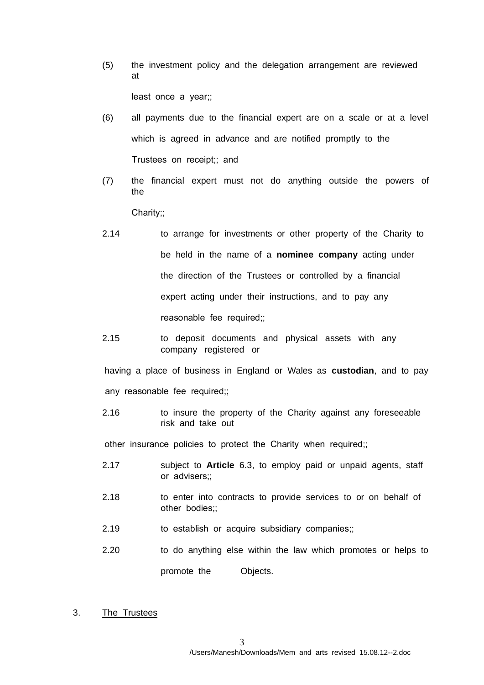(5) the investment policy and the delegation arrangement are reviewed at

least once a year;;

- (6) all payments due to the financial expert are on a scale or at a level which is agreed in advance and are notified promptly to the Trustees on receipt;; and
- (7) the financial expert must not do anything outside the powers of the

Charity;;

- 2.14 to arrange for investments or other property of the Charity to be held in the name of a **nominee company** acting under the direction of the Trustees or controlled by a financial expert acting under their instructions, and to pay any reasonable fee required;;
- 2.15 to deposit documents and physical assets with any company registered or

having a place of business in England or Wales as **custodian**, and to pay any reasonable fee required;;

2.16 to insure the property of the Charity against any foreseeable risk and take out

other insurance policies to protect the Charity when required;;

- 2.17 subject to **Article** 6.3, to employ paid or unpaid agents, staff or advisers;;
- 2.18 to enter into contracts to provide services to or on behalf of other bodies;;
- 2.19 to establish or acquire subsidiary companies;;
- 2.20 to do anything else within the law which promotes or helps to

promote the Objects.

3. The Trustees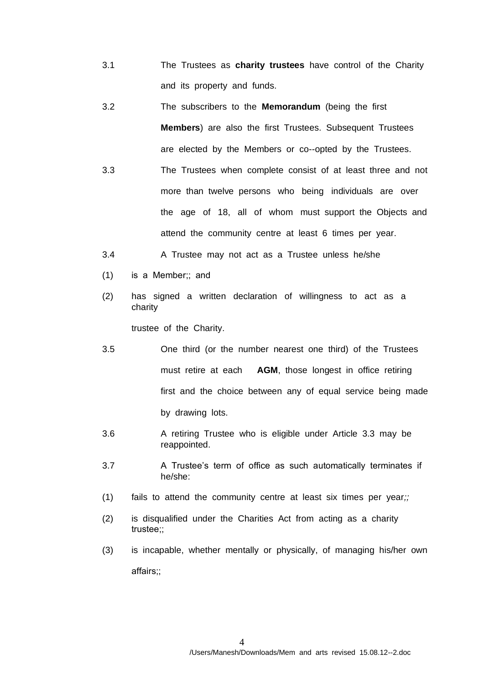- 3.1 The Trustees as **charity trustees** have control of the Charity and its property and funds.
- 3.2 The subscribers to the **Memorandum** (being the first **Members**) are also the first Trustees. Subsequent Trustees are elected by the Members or co--opted by the Trustees.
- 3.3 The Trustees when complete consist of at least three and not more than twelve persons who beingindividuals are over the age of 18, all of whom must support the Objects and attend the community centre at least 6 times per year.
- 3.4 A Trustee may not act as a Trustee unless he/she
- (1) is a Member;; and
- (2) has signed a written declaration of willingness to act as a charity

trustee of the Charity.

- 3.5 One third (or the number nearest one third) of the Trustees must retire at each **AGM**, those longest in office retiring first and the choice between any of equal service being made by drawing lots.
- 3.6 A retiring Trustee who is eligible under Article 3.3 may be reappointed.
- 3.7 A Trustee's term of office as such automatically terminates if he/she:
- (1) fails to attend the community centre at least six times per year*;;*
- (2) is disqualified under the Charities Act from acting as a charity trustee;;
- (3) is incapable, whether mentally or physically, of managing his/her own affairs;;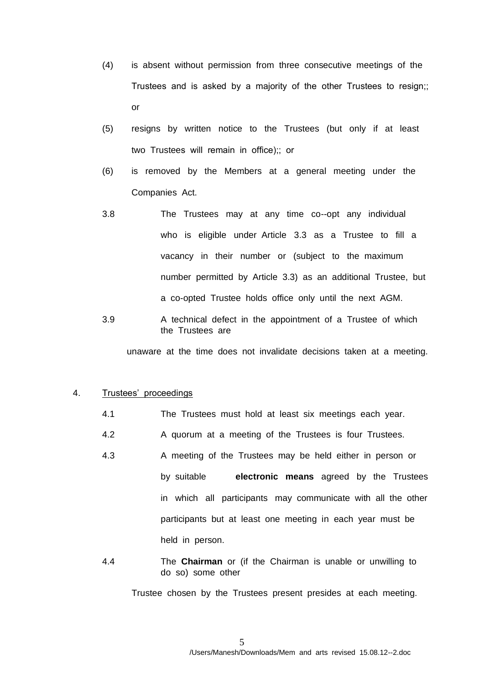- (4) is absent without permission from three consecutive meetings of the Trustees and is asked by a majority of the other Trustees to resign;; or
- (5) resigns by written notice to the Trustees (but only if at least two Trustees will remain in office);; or
- (6) is removed by the Members at a general meeting under the Companies Act.
- 3.8 The Trustees may at any time co--opt any individual who is eligible under Article 3.3 as a Trustee to fill a vacancy in their number or (subject to the maximum number permitted by Article 3.3) as an additional Trustee, but a co-opted Trustee holds office only until the next AGM.
- 3.9 A technical defect in the appointment of a Trustee of which the Trustees are

unaware at the time does not invalidate decisions taken at a meeting.

### 4. Trustees' proceedings

- 4.1 The Trustees must hold at least sixmeetings each year.
- 4.2 A quorum at a meeting of the Trustees is four Trustees.
- 4.3 A meeting of the Trustees may be held either in person or by suitable **electronic means** agreed by the Trustees in which all participants may communicate with all the other participants but at least one meeting in each year must be held in person.
- 4.4 The **Chairman** or (if the Chairman is unable or unwilling to do so) some other

Trustee chosen by the Trustees present presides at each meeting.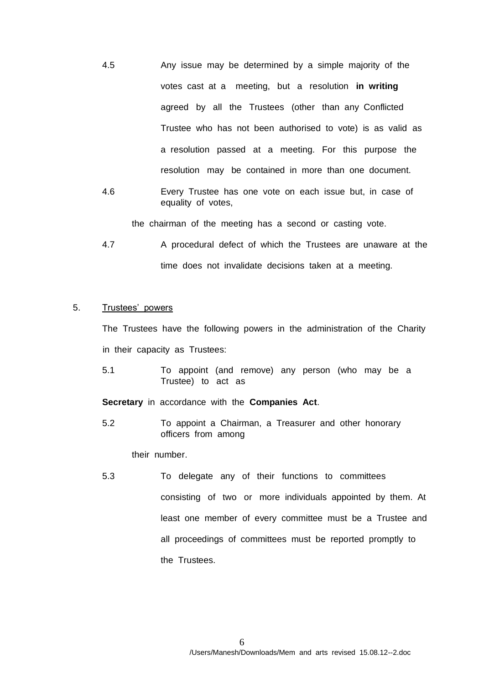- 4.5 Any issue may be determined by a simple majority of the votes cast at a meeting, but a resolution **in writing** agreed by all the Trustees (other than any Conflicted Trustee who has not been authorised to vote) is as valid as a resolution passed at a meeting. For this purpose the resolution may be contained in more than one document.
- 4.6 Every Trustee has one vote on each issue but, in case of equality of votes,

the chairman of the meeting has a second or casting vote.

4.7 A procedural defect of which the Trustees are unaware at the time does not invalidate decisions taken at a meeting.

# 5. Trustees' powers

The Trustees have the following powers in the administration of the Charity in their capacity as Trustees:

5.1 To appoint (and remove) any person (who may be a Trustee) to act as

**Secretary** in accordance with the **Companies Act**.

5.2 To appoint a Chairman, a Treasurer and other honorary officers from among

their number.

5.3 To delegate any of their functions to committees consisting of two or more individuals appointed by them. At least one member of every committee must be a Trustee and all proceedings of committees must be reported promptly to the Trustees.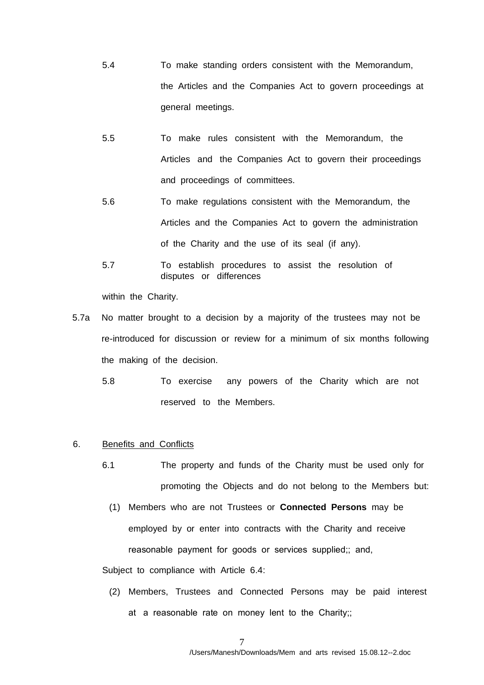- 5.4 To make standing orders consistent with the Memorandum, the Articles and the Companies Act to govern proceedings at general meetings.
- 5.5 To make rules consistent with the Memorandum, the Articles and the Companies Act to govern their proceedings and proceedings of committees.
- 5.6 To make regulations consistent with the Memorandum, the Articles and the Companies Act to govern the administration of the Charity and the use of its seal (if any).
- 5.7 To establish procedures to assist the resolution of disputes or differences

within the Charity.

- 5.7a No matter brought to a decision by a majority of the trustees may not be re-introduced for discussion or review for a minimum of six months following the making of the decision.
	- 5.8 To exercise any powers of the Charity which are not reserved to the Members.
- 6. Benefits and Conflicts
	- 6.1 The property and funds of the Charity must be used only for promoting the Objects and do not belong to the Members but:
		- (1) Members who are not Trustees or **Connected Persons** may be employed by or enter into contracts with the Charity and receive reasonable payment for goods or services supplied;; and,

Subject to compliance with Article 6.4:

(2) Members, Trustees and Connected Personsmay be paid interest at a reasonable rate on money lent to the Charity;;

7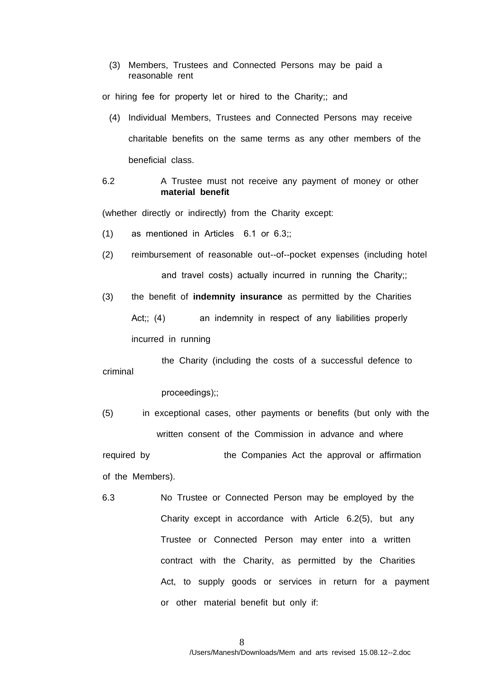(3) Members, Trustees and Connected Persons may be paid a reasonable rent

or hiring fee for property let or hired to the Charity;; and

- (4) Individual Members, Trusteesand Connected Persons may receive charitable benefits on the same terms as any other members of the beneficial class.
- 6.2 A Trustee must not receive any payment of money or other **material benefit**

(whether directly or indirectly) from the Charity except:

- (1) as mentioned in Articles 6.1 or 6.3;;
- (2) reimbursement of reasonable out--of--pocket expenses (including hotel and travel costs) actually incurred in running the Charity;;
- (3) the benefit of **indemnity insurance** as permitted by the Charities Act:: (4) an indemnity in respect of any liabilities properly incurred in running

 the Charity (including the costs of a successful defence to criminal

proceedings);;

(5) in exceptional cases, other payments or benefits (but only with the written consent of the Commission in advance and where

required by the Companies Act the approval or affirmation of the Members).

6.3 No Trustee or Connected Person may be employed by the Charity except in accordance with Article 6.2(5), but any Trustee or Connected Person may enter into a written contract with the Charity, as permitted by the Charities Act, to supply goods or services in return for a payment or other material benefit but only if: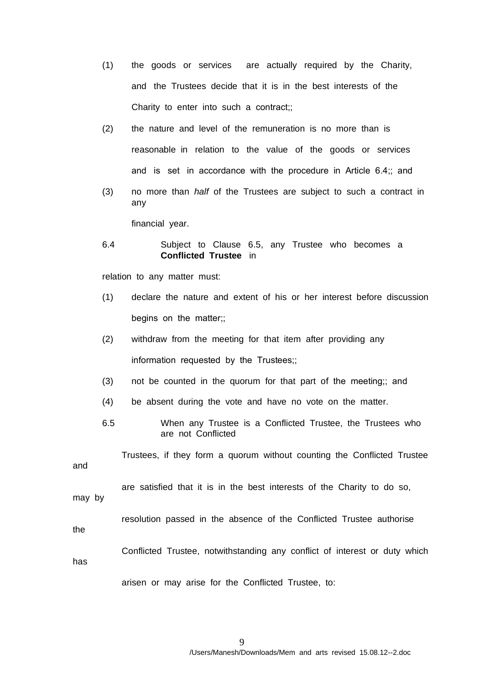- (1) the goods or services are actually required by the Charity, and the Trustees decide that it is in the best interests of the Charity to enter into such a contract;;
- (2) the nature and level of the remuneration is no more than is reasonable in relation to the value of the goods or services and is set in accordance with the procedure in Article 6.4;; and
- (3) no more than *half* of the Trustees are subject to such a contract in any

financial year.

6.4 Subject to Clause 6.5, any Trustee who becomes a **Conflicted Trustee** in

relation to any matter must:

- (1) declare the nature and extent of his or her interest before discussion begins on the matter;;
- (2) withdraw from the meeting for that item after providing any information requested by the Trustees;;
- (3) not be counted in the quorum for that part of the meeting;; and
- (4) be absent during the vote and have no vote on the matter.
- 6.5 When any Trustee is a Conflicted Trustee, the Trustees who are not Conflicted

 Trustees, if they form a quorum without counting the Conflicted Trustee and

are satisfied that it is in the best interests of the Charity to do so,

may by

resolution passed in the absence of the Conflicted Trustee authorise

the

Conflicted Trustee, notwithstanding any conflict of interest or duty which

has

arisen or may arise for the Conflicted Trustee, to: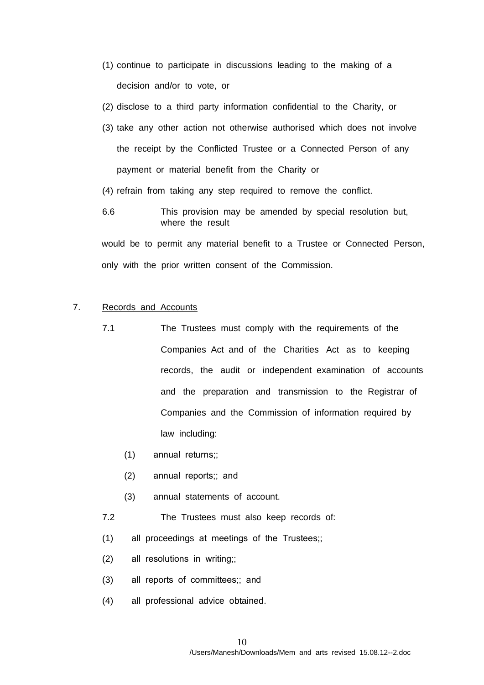- (1) continue to participate in discussions leading to the making of a decision and/or to vote, or
- (2) disclose to a third party information confidential to the Charity, or
- (3) take any other action not otherwise authorised which does not involve the receipt by the Conflicted Trustee or a Connected Person of any payment or material benefit from the Charity or
- (4) refrain from taking any step required to remove the conflict.
- 6.6 This provision may be amended by special resolution but, where the result

 would be to permit any material benefit to a Trustee or Connected Person, only with the prior written consent of the Commission.

# 7. Records and Accounts

- 7.1 The Trustees must comply with the requirements of the Companies Act and of the Charities Act as to keeping records, the audit or independent examination of accounts and the preparation and transmission to the Registrar of Companies and the Commission of information required by law including:
	- (1) annual returns;;
	- (2) annual reports;; and
	- (3) annual statements of account.
- 7.2 The Trustees must also keep records of:
- (1) all proceedings at meetings of the Trustees;;
- (2) all resolutions in writing;;
- (3) all reports of committees;; and
- (4) all professional advice obtained.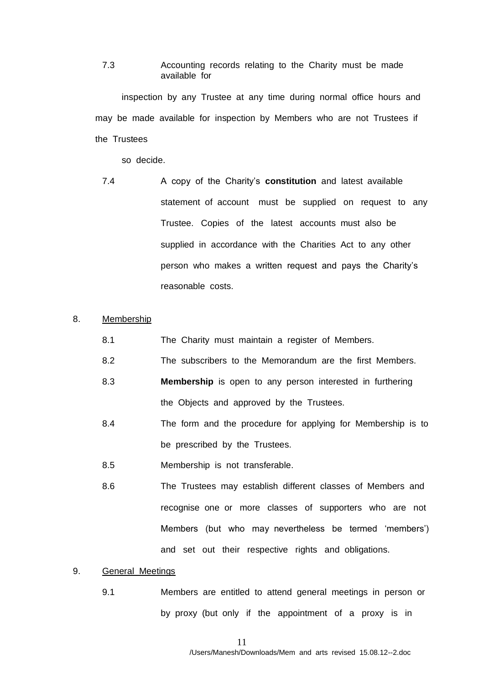7.3 Accounting records relating to the Charity must be made available for

 inspection by any Trustee at any time during normal office hours and may be made available for inspection by Members who are not Trustees if the Trustees

so decide.

7.4 A copy of the Charity's **constitution** and latest available statement of account must be supplied on request to any Trustee. Copies of the latest accounts must also be supplied in accordance with the Charities Actto any other person who makes a written request and pays the Charity's reasonable costs.

### 8. Membership

- 8.1 The Charity must maintain a register of Members.
- 8.2 The subscribers to the Memorandum are the first Members.
- 8.3 **Membership** is open to any person interested in furthering the Objects and approved by the Trustees*.*
- 8.4 The form and the procedure for applying for Membership is to be prescribed by the Trustees.
- 8.5 Membership is not transferable.
- 8.6 The Trustees may establish different classes of Members and recognise one or more classes of supporters who are not Members (but who may nevertheless be termed 'members') and set out their respective rights and obligations.

### 9. General Meetings

9.1 Members are entitled to attend general meetings in person or by proxy (but only if the appointment of a proxy is in

11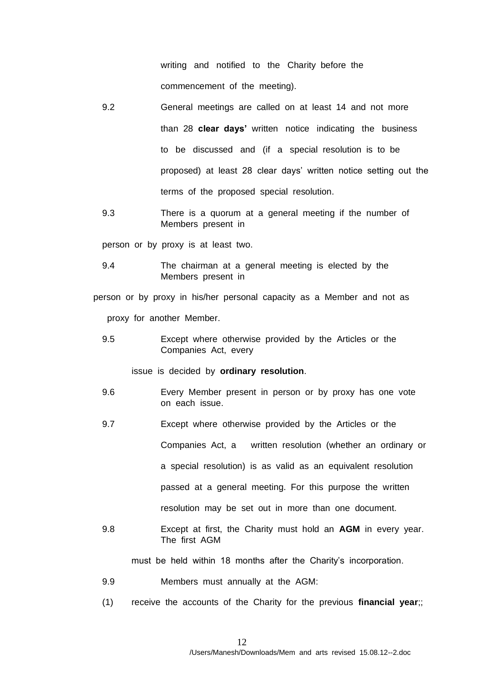writing and notified to the Charity before the commencement of the meeting).

- 9.2 General meetings are called on at least 14 and not more than 28 **clear days'** written notice indicating the business to be discussed and (if a special resolution is to be proposed) at least 28 clear days' written notice setting out the terms of the proposed special resolution.
- 9.3 There is a quorum at a general meeting if the number of Members present in

person or by proxy is at least two.

9.4 The chairman at a general meeting is elected by the Members present in

 person or by proxy in his/her personal capacity as a Member and not as proxy for another Member.

9.5 Except where otherwise provided by the Articles or the Companies Act, every

issue is decided by **ordinary resolution**.

- 9.6 Every Member present in person or by proxy has one vote on each issue.
- 9.7 Except where otherwise provided by the Articles or the

Companies Act, a written resolution (whether an ordinary or

aspecial resolution) is as valid as an equivalent resolution

passed at a general meeting. For this purpose the written

resolution may be set out in more than one document.

9.8 Except at first, the Charity must hold an **AGM** in every year. The first AGM

must be held within 18 months after the Charity's incorporation.

- 9.9 Members must annually at the AGM:
- (1) receive the accounts of the Charity for the previous **financial year**;;

12 /Users/Manesh/Downloads/Mem and arts revised 15.08.12--2.doc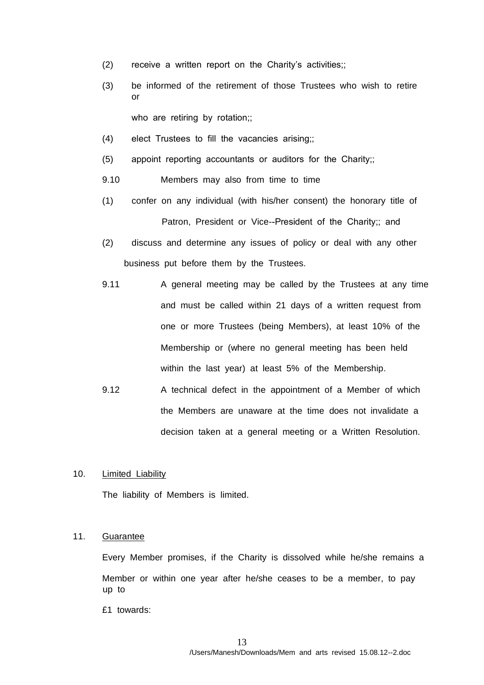- (2) receive a written report on the Charity's activities;;
- (3) be informed of the retirement of those Trustees who wish to retire or

who are retiring by rotation;;

- (4) elect Trustees to fill the vacancies arising;;
- (5) appoint reporting accountants or auditors for the Charity;;
- 9.10 Members may also from time to time
- (1) confer on any individual (with his/her consent) the honorary title of Patron, President or Vice--President of the Charity;; and
- (2) discuss and determine any issues of policy or deal with any other business put before them by the Trustees.
- 9.11 A general meeting may be called by the Trustees at any time and must be called within 21 days of a written request from one or more Trustees (being Members), at least 10% of the Membership or (where no general meeting has been held within the last year) at least 5% of the Membership.
- 9.12 A technical defect in the appointment of a Member of which the Members are unaware at the time does not invalidate a decision taken at a general meeting or a Written Resolution.

### 10. Limited Liability

The liability of Members is limited.

#### 11. Guarantee

Every Member promises, if the Charity is dissolved while he/she remains a Member or within one year after he/she ceases to be a member, to pay up to

£1 towards: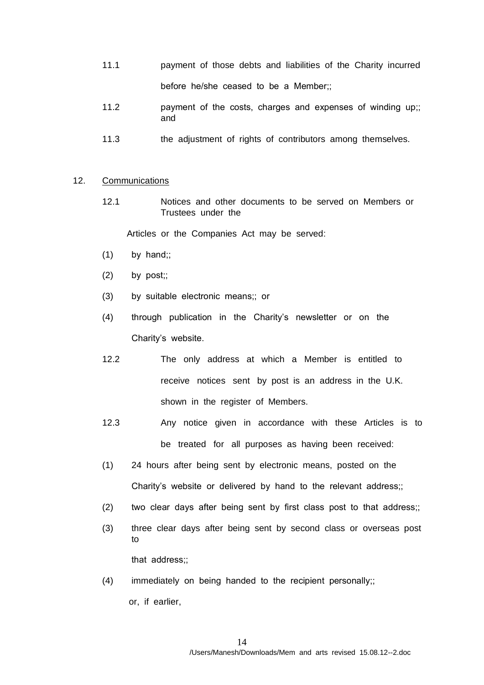- 11.1 payment of those debts and liabilities of the Charity incurred before he/she ceased to be a Member;;
- 11.2 payment of the costs, charges and expenses of winding up;; and
- 11.3 the adjustment of rights of contributors among themselves.

### 12. Communications

12.1 Notices and other documents to be served on Members or Trusteesunder the

Articles or the Companies Act may be served:

- $(1)$  by hand:
- $(2)$  by post;;
- (3) by suitable electronic means;; or
- (4) through publication in the Charity's newsletter or on the Charity's website.
- 12.2 The only address at which a Member is entitled to receive notices sent by post is an address in the U.K. shown in the register of Members.
- 12.3 Any notice given in accordance with these Articles is to be treated for all purposes as having been received:
- (1) 24 hours after being sent by electronic means, posted on the Charity's website or delivered by hand to the relevant address;;
- (2) two clear days after being sent by first class post to that address;;
- (3) three clear days after being sent by second class or overseas post to

that address;;

(4) immediately on being handed to the recipient personally;; or, if earlier,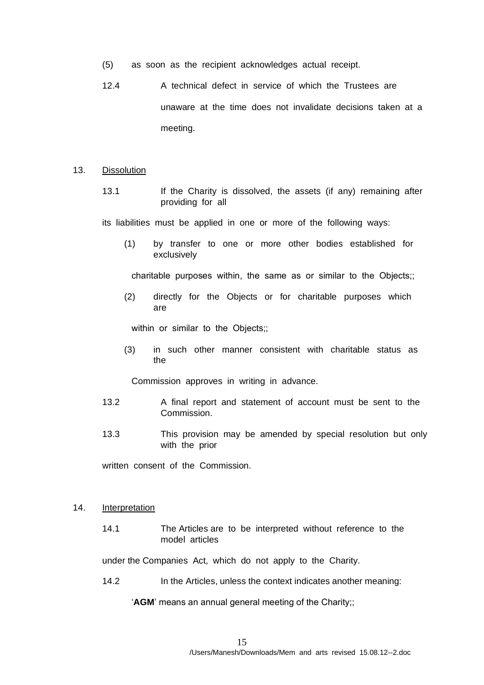- (5) as soon as the recipient acknowledges actual receipt.
- 12.4 A technical defect in service of which the Trustees are unaware at the time does not invalidate decisions taken at a meeting.
- 13. Dissolution
	- 13.1 If the Charity is dissolved, the assets (if any) remaining after providing for all

its liabilities must be applied in one or more of the following ways:

(1) by transfer to one or more other bodies established for exclusively

charitable purposes within, the same as or similar to the Objects;;

(2) directly for the Objects or for charitable purposes which are

within or similar to the Objects::

(3) in such other manner consistent with charitable status as the

Commission approves in writing in advance.

- 13.2 A final report and statement of account must be sent to the Commission.
- 13.3 This provision may be amended by special resolution but only with the prior

written consent of the Commission.

### 14. Interpretation

14.1 The Articles are to be interpreted without reference to the model articles

under the Companies Act, which do not apply to the Charity.

14.2 In the Articles, unless the context indicates another meaning:

'**AGM**' means an annual general meeting of the Charity;;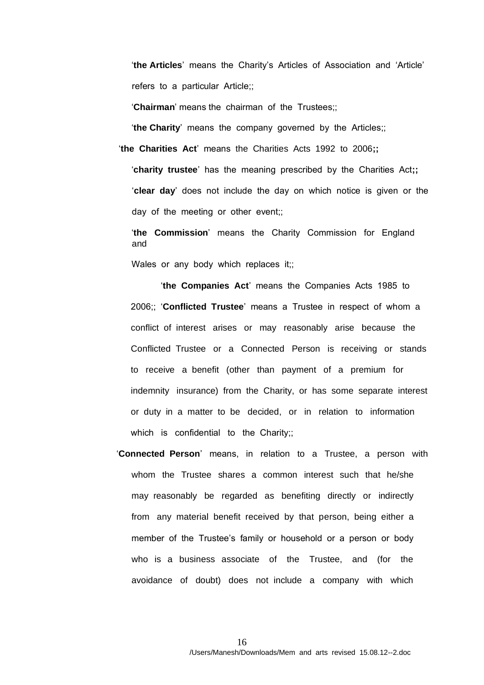'**the Articles**' means the Charity's Articles of Association and 'Article' refers to a particular Article;;

'**Chairman**' means the chairman of the Trustees;;

'**the Charity**' means the company governed by the Articles;;

'**the Charities Act**' means the Charities Acts 1992 to 2006**;;** 

'**charity trustee**' has the meaning prescribed by the Charities Act**;;**  '**clear day**' does not include the day on which notice is given or the day of the meeting or other event;;

'**the Commission**' means the Charity Commission for England and

Wales or any body which replaces it;;

'**the Companies Act**' means the Companies Acts 1985 to 2006;; '**Conflicted Trustee**' means a Trustee in respect of whom a conflict of interest arises or may reasonably arise because the Conflicted Trustee or a Connected Person is receiving or stands to receive a benefit (other than payment of a premium for indemnity insurance) from the Charity, or has some separate interest or duty in a matter to be decided, or in relation to information which is confidential to the Charity;;

 '**Connected Person**' means, in relation to a Trustee, a person with whomthe Trustee shares a common interest such that he/she may reasonably be regarded as benefiting directly or indirectly from any material benefit received by that person, being either a member of the Trustee's family or household or a person or body who is a business associate of the Trustee, and (for the avoidance of doubt) does not include a company with which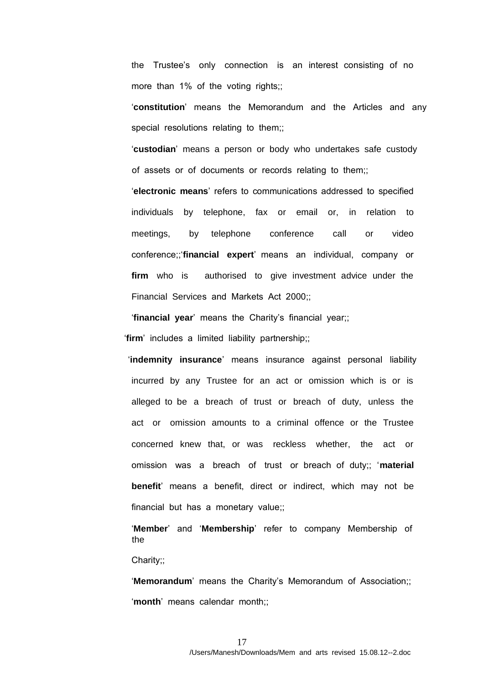the Trustee's only connection is an interest consisting of no more than 1% of the voting rights;;

'**constitution**' means the Memorandum and the Articles and any special resolutions relating to them;;

'**custodian**' means a person or body who undertakes safe custody of assets or of documents or records relating to them;;

'**electronic means**' refers to communications addressed to specified individuals by telephone, fax or email or, in relation to meetings, by telephone conference call or video conference;;'**financial expert**' means an individual, company or **firm** who is authorised to give investment advice under the Financial Services and Markets Act 2000;;

'**financial year**' means the Charity's financial year;;

'**firm**' includes a limited liability partnership;;

'**indemnity insurance**' means insurance against personal liability incurred by any Trustee for an act or omission which is or is alleged to be a breach of trust or breach of duty, unless the act or omission amounts to a criminal offence or the Trustee concerned knew that, or was reckless whether, the act or omission was a breach of trust or breach of duty;; '**material benefit**' means a benefit, direct or indirect, which may not be financial but has a monetary value:

'**Member**' and '**Membership**' refer to company Membership of the

Charity;;

'**Memorandum**' means the Charity's Memorandum of Association;; '**month**' means calendar month;;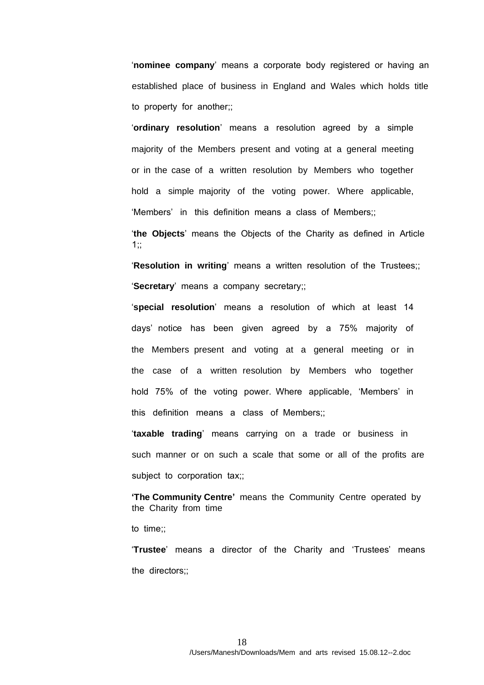'**nominee company**' means a corporate body registered or having an established place of business in England and Wales which holds title to property for another;;

'**ordinary resolution**' means a resolution agreed by a simple majority of the Members present and voting at a general meeting or in the case of a written resolution by Members who together hold a simple majority of the voting power. Where applicable, 'Members' in this definition means a class of Members;;

'**the Objects**' means the Objects of the Charity as defined in Article  $1::$ 

'**Resolution in writing**' means a written resolution of the Trustees;; '**Secretary**' means a company secretary;;

'**special resolution**' means a resolution of which at least 14 days' notice has been given agreed by a 75% majority of the Members present and voting at a general meeting or in the case of a written resolution by Members who together hold 75% of the voting power. Where applicable, 'Members' in this definition means a class of Members;;

'**taxable trading**' means carrying on a trade or business in such manner or on such a scale that some or all ofthe profits are subject to corporation tax;;

**'The Community Centre'** means the Community Centre operated by the Charity from time

to time;;

'**Trustee**' means a director of the Charity and 'Trustees' means the directors;;